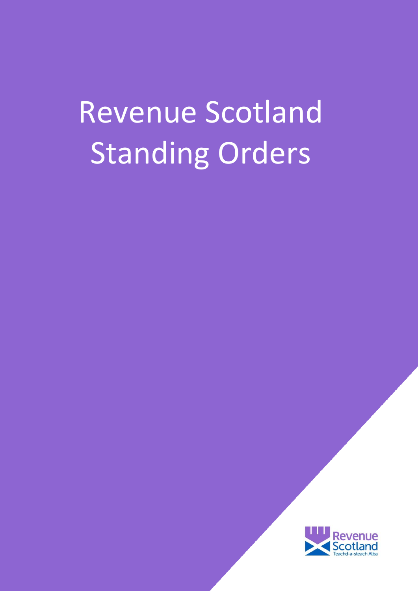# Revenue Scotland Standing Orders

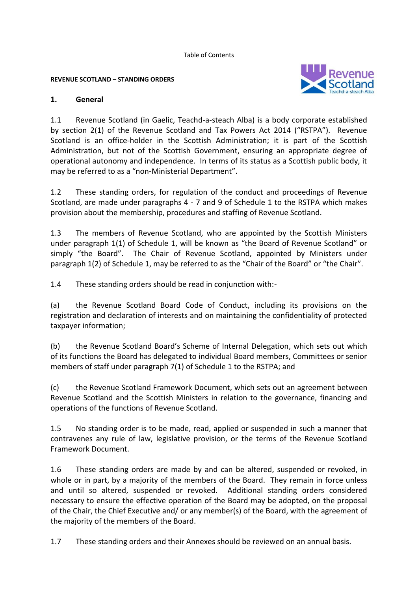Table of Contents

#### **REVENUE SCOTLAND – STANDING ORDERS**



#### **1. General**

1.1 Revenue Scotland (in Gaelic, Teachd-a-steach Alba) is a body corporate established by section 2(1) of the Revenue Scotland and Tax Powers Act 2014 ("RSTPA"). Revenue Scotland is an office-holder in the Scottish Administration; it is part of the Scottish Administration, but not of the Scottish Government, ensuring an appropriate degree of operational autonomy and independence. In terms of its status as a Scottish public body, it may be referred to as a "non-Ministerial Department".

1.2 These standing orders, for regulation of the conduct and proceedings of Revenue Scotland, are made under paragraphs 4 - 7 and 9 of Schedule 1 to the RSTPA which makes provision about the membership, procedures and staffing of Revenue Scotland.

1.3 The members of Revenue Scotland, who are appointed by the Scottish Ministers under paragraph 1(1) of Schedule 1, will be known as "the Board of Revenue Scotland" or simply "the Board". The Chair of Revenue Scotland, appointed by Ministers under paragraph 1(2) of Schedule 1, may be referred to as the "Chair of the Board" or "the Chair".

1.4 These standing orders should be read in conjunction with:-

(a) the Revenue Scotland Board Code of Conduct, including its provisions on the registration and declaration of interests and on maintaining the confidentiality of protected taxpayer information;

(b) the Revenue Scotland Board's Scheme of Internal Delegation, which sets out which of its functions the Board has delegated to individual Board members, Committees or senior members of staff under paragraph 7(1) of Schedule 1 to the RSTPA; and

(c) the Revenue Scotland Framework Document, which sets out an agreement between Revenue Scotland and the Scottish Ministers in relation to the governance, financing and operations of the functions of Revenue Scotland.

1.5 No standing order is to be made, read, applied or suspended in such a manner that contravenes any rule of law, legislative provision, or the terms of the Revenue Scotland Framework Document.

1.6 These standing orders are made by and can be altered, suspended or revoked, in whole or in part, by a majority of the members of the Board. They remain in force unless and until so altered, suspended or revoked. Additional standing orders considered necessary to ensure the effective operation of the Board may be adopted, on the proposal of the Chair, the Chief Executive and/ or any member(s) of the Board, with the agreement of the majority of the members of the Board.

1.7 These standing orders and their Annexes should be reviewed on an annual basis.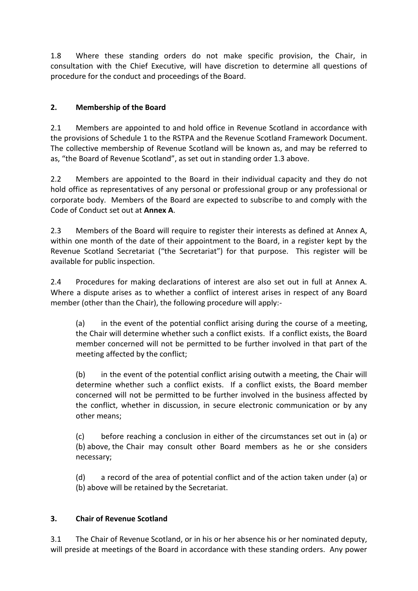1.8 Where these standing orders do not make specific provision, the Chair, in consultation with the Chief Executive, will have discretion to determine all questions of procedure for the conduct and proceedings of the Board.

## **2. Membership of the Board**

2.1 Members are appointed to and hold office in Revenue Scotland in accordance with the provisions of Schedule 1 to the RSTPA and the Revenue Scotland Framework Document. The collective membership of Revenue Scotland will be known as, and may be referred to as, "the Board of Revenue Scotland", as set out in standing order 1.3 above.

2.2 Members are appointed to the Board in their individual capacity and they do not hold office as representatives of any personal or professional group or any professional or corporate body. Members of the Board are expected to subscribe to and comply with the Code of Conduct set out at **Annex A**.

2.3 Members of the Board will require to register their interests as defined at Annex A, within one month of the date of their appointment to the Board, in a register kept by the Revenue Scotland Secretariat ("the Secretariat") for that purpose. This register will be available for public inspection.

2.4 Procedures for making declarations of interest are also set out in full at Annex A. Where a dispute arises as to whether a conflict of interest arises in respect of any Board member (other than the Chair), the following procedure will apply:-

(a) in the event of the potential conflict arising during the course of a meeting, the Chair will determine whether such a conflict exists. If a conflict exists, the Board member concerned will not be permitted to be further involved in that part of the meeting affected by the conflict;

(b) in the event of the potential conflict arising outwith a meeting, the Chair will determine whether such a conflict exists. If a conflict exists, the Board member concerned will not be permitted to be further involved in the business affected by the conflict, whether in discussion, in secure electronic communication or by any other means;

(c) before reaching a conclusion in either of the circumstances set out in (a) or (b) above, the Chair may consult other Board members as he or she considers necessary;

(d) a record of the area of potential conflict and of the action taken under (a) or (b) above will be retained by the Secretariat.

## **3. Chair of Revenue Scotland**

3.1 The Chair of Revenue Scotland, or in his or her absence his or her nominated deputy, will preside at meetings of the Board in accordance with these standing orders. Any power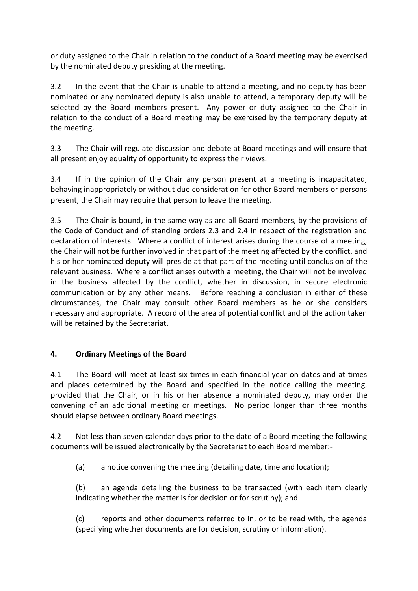or duty assigned to the Chair in relation to the conduct of a Board meeting may be exercised by the nominated deputy presiding at the meeting.

3.2 In the event that the Chair is unable to attend a meeting, and no deputy has been nominated or any nominated deputy is also unable to attend, a temporary deputy will be selected by the Board members present. Any power or duty assigned to the Chair in relation to the conduct of a Board meeting may be exercised by the temporary deputy at the meeting.

3.3 The Chair will regulate discussion and debate at Board meetings and will ensure that all present enjoy equality of opportunity to express their views.

3.4 If in the opinion of the Chair any person present at a meeting is incapacitated, behaving inappropriately or without due consideration for other Board members or persons present, the Chair may require that person to leave the meeting.

3.5 The Chair is bound, in the same way as are all Board members, by the provisions of the Code of Conduct and of standing orders 2.3 and 2.4 in respect of the registration and declaration of interests. Where a conflict of interest arises during the course of a meeting, the Chair will not be further involved in that part of the meeting affected by the conflict, and his or her nominated deputy will preside at that part of the meeting until conclusion of the relevant business. Where a conflict arises outwith a meeting, the Chair will not be involved in the business affected by the conflict, whether in discussion, in secure electronic communication or by any other means. Before reaching a conclusion in either of these circumstances, the Chair may consult other Board members as he or she considers necessary and appropriate. A record of the area of potential conflict and of the action taken will be retained by the Secretariat.

#### **4. Ordinary Meetings of the Board**

4.1 The Board will meet at least six times in each financial year on dates and at times and places determined by the Board and specified in the notice calling the meeting, provided that the Chair, or in his or her absence a nominated deputy, may order the convening of an additional meeting or meetings. No period longer than three months should elapse between ordinary Board meetings.

4.2 Not less than seven calendar days prior to the date of a Board meeting the following documents will be issued electronically by the Secretariat to each Board member:-

(a) a notice convening the meeting (detailing date, time and location);

(b) an agenda detailing the business to be transacted (with each item clearly indicating whether the matter is for decision or for scrutiny); and

(c) reports and other documents referred to in, or to be read with, the agenda (specifying whether documents are for decision, scrutiny or information).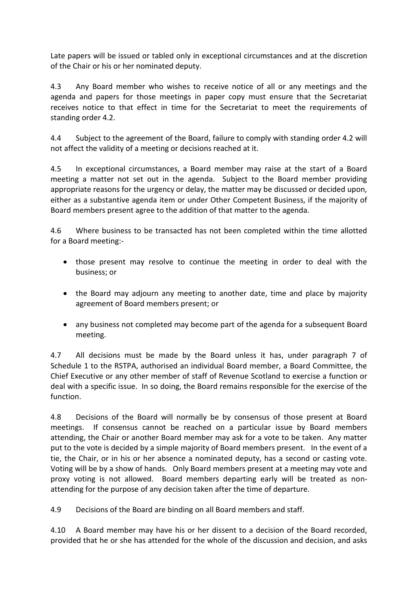Late papers will be issued or tabled only in exceptional circumstances and at the discretion of the Chair or his or her nominated deputy.

4.3 Any Board member who wishes to receive notice of all or any meetings and the agenda and papers for those meetings in paper copy must ensure that the Secretariat receives notice to that effect in time for the Secretariat to meet the requirements of standing order 4.2.

4.4 Subject to the agreement of the Board, failure to comply with standing order 4.2 will not affect the validity of a meeting or decisions reached at it.

4.5 In exceptional circumstances, a Board member may raise at the start of a Board meeting a matter not set out in the agenda. Subject to the Board member providing appropriate reasons for the urgency or delay, the matter may be discussed or decided upon, either as a substantive agenda item or under Other Competent Business, if the majority of Board members present agree to the addition of that matter to the agenda.

4.6 Where business to be transacted has not been completed within the time allotted for a Board meeting:-

- those present may resolve to continue the meeting in order to deal with the business; or
- the Board may adjourn any meeting to another date, time and place by majority agreement of Board members present; or
- any business not completed may become part of the agenda for a subsequent Board meeting.

4.7 All decisions must be made by the Board unless it has, under paragraph 7 of Schedule 1 to the RSTPA, authorised an individual Board member, a Board Committee, the Chief Executive or any other member of staff of Revenue Scotland to exercise a function or deal with a specific issue. In so doing, the Board remains responsible for the exercise of the function.

4.8 Decisions of the Board will normally be by consensus of those present at Board meetings. If consensus cannot be reached on a particular issue by Board members attending, the Chair or another Board member may ask for a vote to be taken. Any matter put to the vote is decided by a simple majority of Board members present. In the event of a tie, the Chair, or in his or her absence a nominated deputy, has a second or casting vote. Voting will be by a show of hands. Only Board members present at a meeting may vote and proxy voting is not allowed. Board members departing early will be treated as nonattending for the purpose of any decision taken after the time of departure.

4.9 Decisions of the Board are binding on all Board members and staff.

4.10 A Board member may have his or her dissent to a decision of the Board recorded, provided that he or she has attended for the whole of the discussion and decision, and asks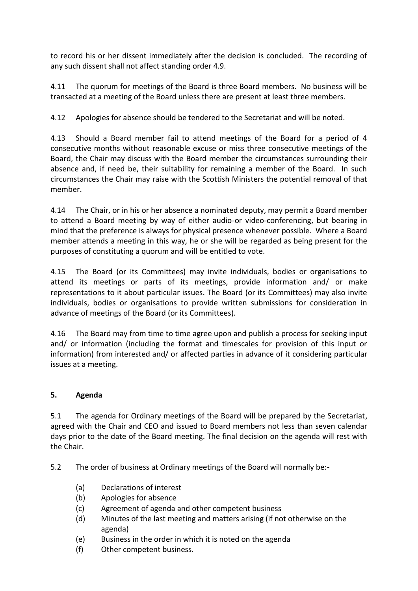to record his or her dissent immediately after the decision is concluded. The recording of any such dissent shall not affect standing order 4.9.

4.11 The quorum for meetings of the Board is three Board members. No business will be transacted at a meeting of the Board unless there are present at least three members.

4.12 Apologies for absence should be tendered to the Secretariat and will be noted.

4.13 Should a Board member fail to attend meetings of the Board for a period of 4 consecutive months without reasonable excuse or miss three consecutive meetings of the Board, the Chair may discuss with the Board member the circumstances surrounding their absence and, if need be, their suitability for remaining a member of the Board. In such circumstances the Chair may raise with the Scottish Ministers the potential removal of that member.

4.14 The Chair, or in his or her absence a nominated deputy, may permit a Board member to attend a Board meeting by way of either audio-or video-conferencing, but bearing in mind that the preference is always for physical presence whenever possible. Where a Board member attends a meeting in this way, he or she will be regarded as being present for the purposes of constituting a quorum and will be entitled to vote.

4.15 The Board (or its Committees) may invite individuals, bodies or organisations to attend its meetings or parts of its meetings, provide information and/ or make representations to it about particular issues. The Board (or its Committees) may also invite individuals, bodies or organisations to provide written submissions for consideration in advance of meetings of the Board (or its Committees).

4.16 The Board may from time to time agree upon and publish a process for seeking input and/ or information (including the format and timescales for provision of this input or information) from interested and/ or affected parties in advance of it considering particular issues at a meeting.

## **5. Agenda**

5.1 The agenda for Ordinary meetings of the Board will be prepared by the Secretariat, agreed with the Chair and CEO and issued to Board members not less than seven calendar days prior to the date of the Board meeting. The final decision on the agenda will rest with the Chair.

5.2 The order of business at Ordinary meetings of the Board will normally be:-

- (a) Declarations of interest
- (b) Apologies for absence
- (c) Agreement of agenda and other competent business
- (d) Minutes of the last meeting and matters arising (if not otherwise on the agenda)
- (e) Business in the order in which it is noted on the agenda
- (f) Other competent business.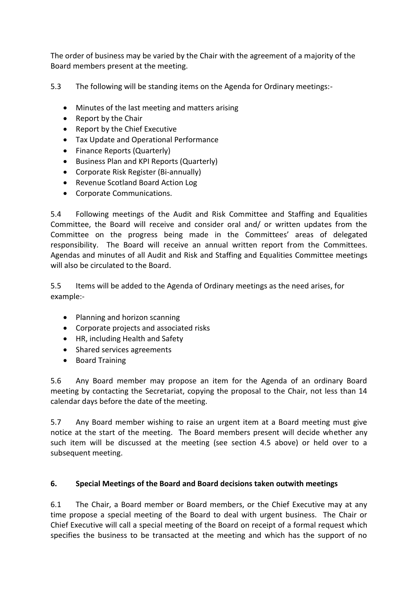The order of business may be varied by the Chair with the agreement of a majority of the Board members present at the meeting.

5.3 The following will be standing items on the Agenda for Ordinary meetings:-

- Minutes of the last meeting and matters arising
- Report by the Chair
- Report by the Chief Executive
- Tax Update and Operational Performance
- Finance Reports (Quarterly)
- Business Plan and KPI Reports (Quarterly)
- Corporate Risk Register (Bi-annually)
- Revenue Scotland Board Action Log
- Corporate Communications.

5.4 Following meetings of the Audit and Risk Committee and Staffing and Equalities Committee, the Board will receive and consider oral and/ or written updates from the Committee on the progress being made in the Committees' areas of delegated responsibility. The Board will receive an annual written report from the Committees. Agendas and minutes of all Audit and Risk and Staffing and Equalities Committee meetings will also be circulated to the Board.

5.5 Items will be added to the Agenda of Ordinary meetings as the need arises, for example:-

- Planning and horizon scanning
- Corporate projects and associated risks
- HR, including Health and Safety
- Shared services agreements
- Board Training

5.6 Any Board member may propose an item for the Agenda of an ordinary Board meeting by contacting the Secretariat, copying the proposal to the Chair, not less than 14 calendar days before the date of the meeting.

5.7 Any Board member wishing to raise an urgent item at a Board meeting must give notice at the start of the meeting. The Board members present will decide whether any such item will be discussed at the meeting (see section 4.5 above) or held over to a subsequent meeting.

## **6. Special Meetings of the Board and Board decisions taken outwith meetings**

6.1 The Chair, a Board member or Board members, or the Chief Executive may at any time propose a special meeting of the Board to deal with urgent business. The Chair or Chief Executive will call a special meeting of the Board on receipt of a formal request which specifies the business to be transacted at the meeting and which has the support of no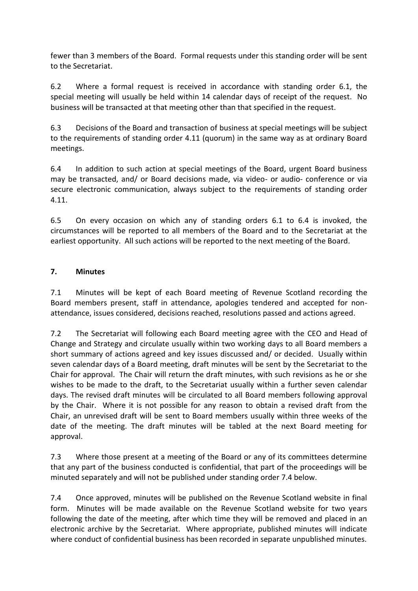fewer than 3 members of the Board. Formal requests under this standing order will be sent to the Secretariat.

6.2 Where a formal request is received in accordance with standing order 6.1, the special meeting will usually be held within 14 calendar days of receipt of the request. No business will be transacted at that meeting other than that specified in the request.

6.3 Decisions of the Board and transaction of business at special meetings will be subject to the requirements of standing order 4.11 (quorum) in the same way as at ordinary Board meetings.

6.4 In addition to such action at special meetings of the Board, urgent Board business may be transacted, and/ or Board decisions made, via video- or audio- conference or via secure electronic communication, always subject to the requirements of standing order 4.11.

6.5 On every occasion on which any of standing orders 6.1 to 6.4 is invoked, the circumstances will be reported to all members of the Board and to the Secretariat at the earliest opportunity. All such actions will be reported to the next meeting of the Board.

## **7. Minutes**

7.1 Minutes will be kept of each Board meeting of Revenue Scotland recording the Board members present, staff in attendance, apologies tendered and accepted for nonattendance, issues considered, decisions reached, resolutions passed and actions agreed.

7.2 The Secretariat will following each Board meeting agree with the CEO and Head of Change and Strategy and circulate usually within two working days to all Board members a short summary of actions agreed and key issues discussed and/ or decided. Usually within seven calendar days of a Board meeting, draft minutes will be sent by the Secretariat to the Chair for approval. The Chair will return the draft minutes, with such revisions as he or she wishes to be made to the draft, to the Secretariat usually within a further seven calendar days. The revised draft minutes will be circulated to all Board members following approval by the Chair. Where it is not possible for any reason to obtain a revised draft from the Chair, an unrevised draft will be sent to Board members usually within three weeks of the date of the meeting. The draft minutes will be tabled at the next Board meeting for approval.

7.3 Where those present at a meeting of the Board or any of its committees determine that any part of the business conducted is confidential, that part of the proceedings will be minuted separately and will not be published under standing order 7.4 below.

7.4 Once approved, minutes will be published on the Revenue Scotland website in final form. Minutes will be made available on the Revenue Scotland website for two years following the date of the meeting, after which time they will be removed and placed in an electronic archive by the Secretariat. Where appropriate, published minutes will indicate where conduct of confidential business has been recorded in separate unpublished minutes.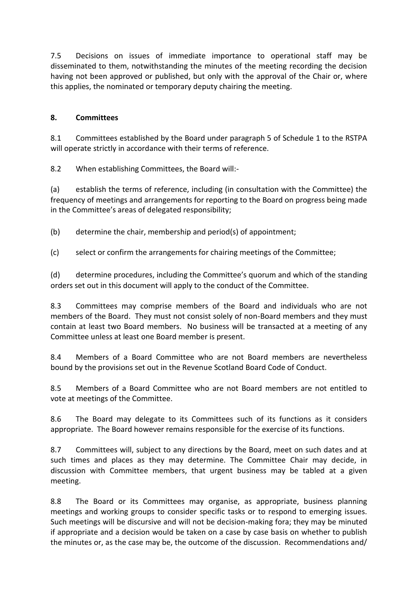7.5 Decisions on issues of immediate importance to operational staff may be disseminated to them, notwithstanding the minutes of the meeting recording the decision having not been approved or published, but only with the approval of the Chair or, where this applies, the nominated or temporary deputy chairing the meeting.

### **8. Committees**

8.1 Committees established by the Board under paragraph 5 of Schedule 1 to the RSTPA will operate strictly in accordance with their terms of reference.

8.2 When establishing Committees, the Board will:-

(a) establish the terms of reference, including (in consultation with the Committee) the frequency of meetings and arrangements for reporting to the Board on progress being made in the Committee's areas of delegated responsibility;

(b) determine the chair, membership and period(s) of appointment;

(c) select or confirm the arrangements for chairing meetings of the Committee;

(d) determine procedures, including the Committee's quorum and which of the standing orders set out in this document will apply to the conduct of the Committee.

8.3 Committees may comprise members of the Board and individuals who are not members of the Board. They must not consist solely of non-Board members and they must contain at least two Board members. No business will be transacted at a meeting of any Committee unless at least one Board member is present.

8.4 Members of a Board Committee who are not Board members are nevertheless bound by the provisions set out in the Revenue Scotland Board Code of Conduct.

8.5 Members of a Board Committee who are not Board members are not entitled to vote at meetings of the Committee.

8.6 The Board may delegate to its Committees such of its functions as it considers appropriate. The Board however remains responsible for the exercise of its functions.

8.7 Committees will, subject to any directions by the Board, meet on such dates and at such times and places as they may determine. The Committee Chair may decide, in discussion with Committee members, that urgent business may be tabled at a given meeting.

8.8 The Board or its Committees may organise, as appropriate, business planning meetings and working groups to consider specific tasks or to respond to emerging issues. Such meetings will be discursive and will not be decision-making fora; they may be minuted if appropriate and a decision would be taken on a case by case basis on whether to publish the minutes or, as the case may be, the outcome of the discussion. Recommendations and/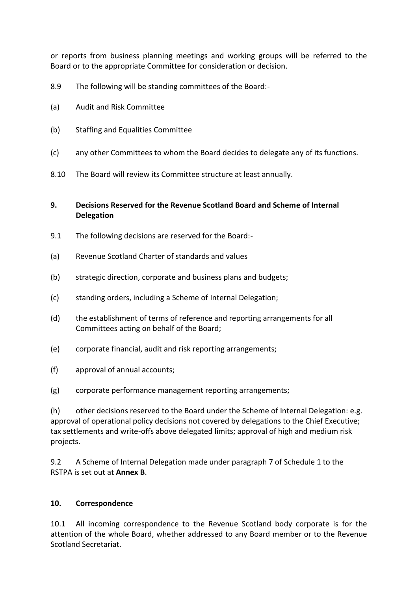or reports from business planning meetings and working groups will be referred to the Board or to the appropriate Committee for consideration or decision.

- 8.9 The following will be standing committees of the Board:-
- (a) Audit and Risk Committee
- (b) Staffing and Equalities Committee
- (c) any other Committees to whom the Board decides to delegate any of its functions.
- 8.10 The Board will review its Committee structure at least annually.

#### **9. Decisions Reserved for the Revenue Scotland Board and Scheme of Internal Delegation**

- 9.1 The following decisions are reserved for the Board:-
- (a) Revenue Scotland Charter of standards and values
- (b) strategic direction, corporate and business plans and budgets;
- (c) standing orders, including a Scheme of Internal Delegation;
- (d) the establishment of terms of reference and reporting arrangements for all Committees acting on behalf of the Board;
- (e) corporate financial, audit and risk reporting arrangements;
- (f) approval of annual accounts;
- (g) corporate performance management reporting arrangements;

(h) other decisions reserved to the Board under the Scheme of Internal Delegation: e.g. approval of operational policy decisions not covered by delegations to the Chief Executive; tax settlements and write-offs above delegated limits; approval of high and medium risk projects.

9.2 A Scheme of Internal Delegation made under paragraph 7 of Schedule 1 to the RSTPA is set out at **Annex B**.

#### **10. Correspondence**

10.1 All incoming correspondence to the Revenue Scotland body corporate is for the attention of the whole Board, whether addressed to any Board member or to the Revenue Scotland Secretariat.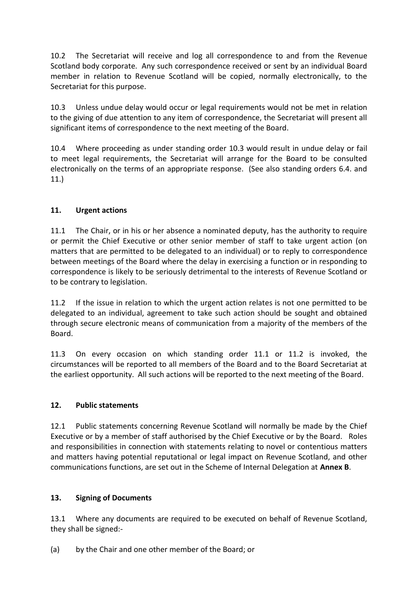10.2 The Secretariat will receive and log all correspondence to and from the Revenue Scotland body corporate. Any such correspondence received or sent by an individual Board member in relation to Revenue Scotland will be copied, normally electronically, to the Secretariat for this purpose.

10.3 Unless undue delay would occur or legal requirements would not be met in relation to the giving of due attention to any item of correspondence, the Secretariat will present all significant items of correspondence to the next meeting of the Board.

10.4 Where proceeding as under standing order 10.3 would result in undue delay or fail to meet legal requirements, the Secretariat will arrange for the Board to be consulted electronically on the terms of an appropriate response. (See also standing orders 6.4. and 11.)

## **11. Urgent actions**

11.1 The Chair, or in his or her absence a nominated deputy, has the authority to require or permit the Chief Executive or other senior member of staff to take urgent action (on matters that are permitted to be delegated to an individual) or to reply to correspondence between meetings of the Board where the delay in exercising a function or in responding to correspondence is likely to be seriously detrimental to the interests of Revenue Scotland or to be contrary to legislation.

11.2 If the issue in relation to which the urgent action relates is not one permitted to be delegated to an individual, agreement to take such action should be sought and obtained through secure electronic means of communication from a majority of the members of the Board.

11.3 On every occasion on which standing order 11.1 or 11.2 is invoked, the circumstances will be reported to all members of the Board and to the Board Secretariat at the earliest opportunity. All such actions will be reported to the next meeting of the Board.

## **12. Public statements**

12.1 Public statements concerning Revenue Scotland will normally be made by the Chief Executive or by a member of staff authorised by the Chief Executive or by the Board. Roles and responsibilities in connection with statements relating to novel or contentious matters and matters having potential reputational or legal impact on Revenue Scotland, and other communications functions, are set out in the Scheme of Internal Delegation at **Annex B**.

## **13. Signing of Documents**

13.1 Where any documents are required to be executed on behalf of Revenue Scotland, they shall be signed:-

(a) by the Chair and one other member of the Board; or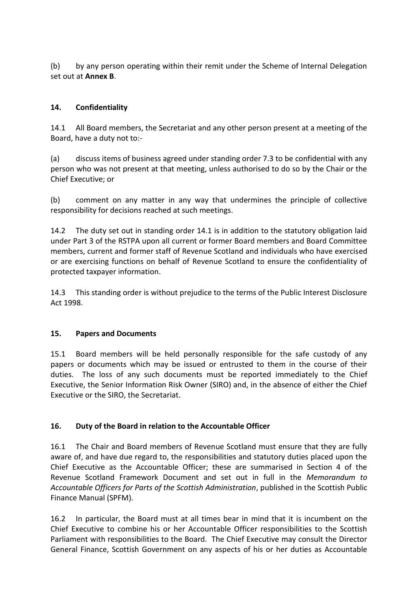(b) by any person operating within their remit under the Scheme of Internal Delegation set out at **Annex B**.

### **14. Confidentiality**

14.1 All Board members, the Secretariat and any other person present at a meeting of the Board, have a duty not to:-

(a) discuss items of business agreed under standing order 7.3 to be confidential with any person who was not present at that meeting, unless authorised to do so by the Chair or the Chief Executive; or

(b) comment on any matter in any way that undermines the principle of collective responsibility for decisions reached at such meetings.

14.2 The duty set out in standing order 14.1 is in addition to the statutory obligation laid under Part 3 of the RSTPA upon all current or former Board members and Board Committee members, current and former staff of Revenue Scotland and individuals who have exercised or are exercising functions on behalf of Revenue Scotland to ensure the confidentiality of protected taxpayer information.

14.3 This standing order is without prejudice to the terms of the Public Interest Disclosure Act 1998.

#### **15. Papers and Documents**

15.1 Board members will be held personally responsible for the safe custody of any papers or documents which may be issued or entrusted to them in the course of their duties. The loss of any such documents must be reported immediately to the Chief Executive, the Senior Information Risk Owner (SIRO) and, in the absence of either the Chief Executive or the SIRO, the Secretariat.

#### **16. Duty of the Board in relation to the Accountable Officer**

16.1 The Chair and Board members of Revenue Scotland must ensure that they are fully aware of, and have due regard to, the responsibilities and statutory duties placed upon the Chief Executive as the Accountable Officer; these are summarised in Section 4 of the Revenue Scotland Framework Document and set out in full in the *Memorandum to Accountable Officers for Parts of the Scottish Administration*, published in the Scottish Public Finance Manual (SPFM).

16.2 In particular, the Board must at all times bear in mind that it is incumbent on the Chief Executive to combine his or her Accountable Officer responsibilities to the Scottish Parliament with responsibilities to the Board. The Chief Executive may consult the Director General Finance, Scottish Government on any aspects of his or her duties as Accountable